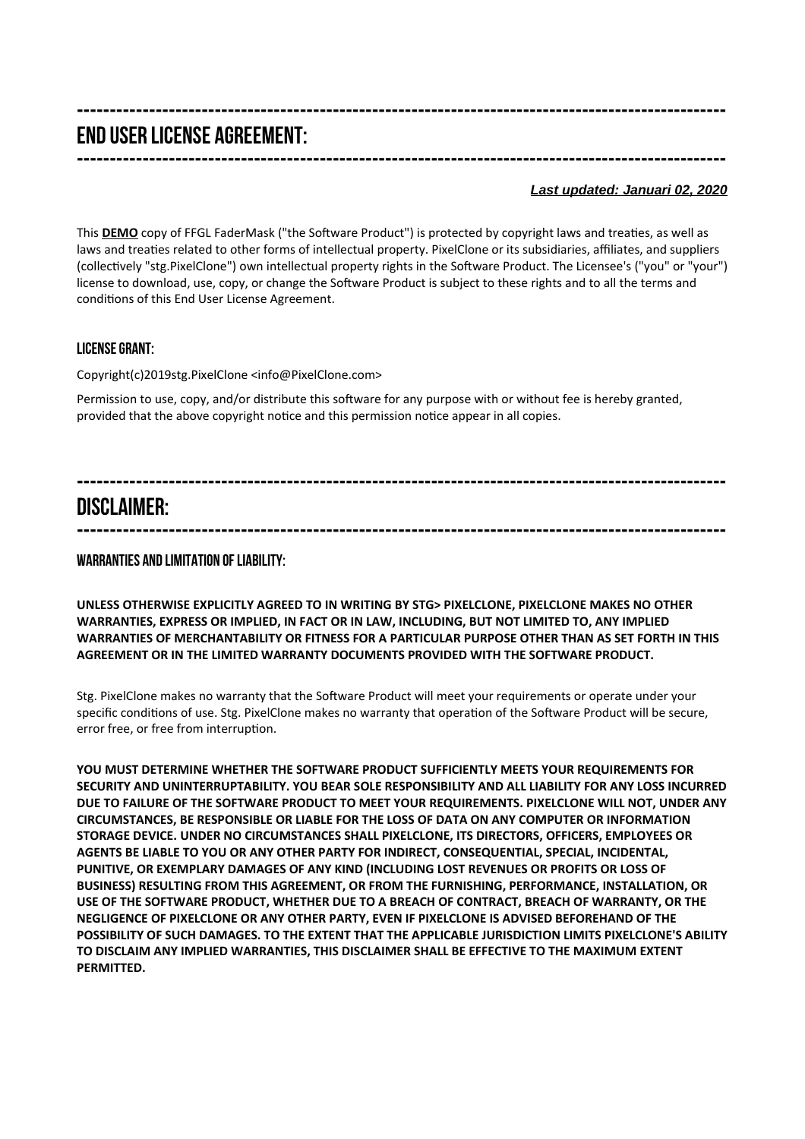# **--------------------------------------------------------------------------------------------------- END USER LICENSE AGREEMENT: ---------------------------------------------------------------------------------------------------**

#### *Last updated: Januari 02, 2020*

This DEMO copy of FFGL FaderMask ("the Software Product") is protected by copyright laws and treaties, as well as laws and treaties related to other forms of intellectual property. PixelClone or its subsidiaries, affiliates, and suppliers (collectvely "stg.PixelClone") own intellectual property rights in the Sofware Product. The Licensee's ("you" or "your") license to download, use, copy, or change the Sofware Product is subject to these rights and to all the terms and conditons of this End User License Agreement.

### **License Grant:**

Copyright(c)2019stg.PixelClone <info@PixelClone.com>

Permission to use, copy, and/or distribute this sofware for any purpose with or without fee is hereby granted, provided that the above copyright notice and this permission notice appear in all copies.

### **--------------------------------------------------------------------------------------------------- DISCLAIMER:**

**---------------------------------------------------------------------------------------------------**

#### **Warranties and Limitation of Liability:**

**UNLESS OTHERWISE EXPLICITLY AGREED TO IN WRITING BY STG> PIXELCLONE, PIXELCLONE MAKES NO OTHER WARRANTIES, EXPRESS OR IMPLIED, IN FACT OR IN LAW, INCLUDING, BUT NOT LIMITED TO, ANY IMPLIED WARRANTIES OF MERCHANTABILITY OR FITNESS FOR A PARTICULAR PURPOSE OTHER THAN AS SET FORTH IN THIS AGREEMENT OR IN THE LIMITED WARRANTY DOCUMENTS PROVIDED WITH THE SOFTWARE PRODUCT.** 

Stg. PixelClone makes no warranty that the Sofware Product will meet your requirements or operate under your specifc conditons of use. Stg. PixelClone makes no warranty that operaton of the Sofware Product will be secure, error free, or free from interruption.

**YOU MUST DETERMINE WHETHER THE SOFTWARE PRODUCT SUFFICIENTLY MEETS YOUR REQUIREMENTS FOR SECURITY AND UNINTERRUPTABILITY. YOU BEAR SOLE RESPONSIBILITY AND ALL LIABILITY FOR ANY LOSS INCURRED DUE TO FAILURE OF THE SOFTWARE PRODUCT TO MEET YOUR REQUIREMENTS. PIXELCLONE WILL NOT, UNDER ANY CIRCUMSTANCES, BE RESPONSIBLE OR LIABLE FOR THE LOSS OF DATA ON ANY COMPUTER OR INFORMATION STORAGE DEVICE. UNDER NO CIRCUMSTANCES SHALL PIXELCLONE, ITS DIRECTORS, OFFICERS, EMPLOYEES OR AGENTS BE LIABLE TO YOU OR ANY OTHER PARTY FOR INDIRECT, CONSEQUENTIAL, SPECIAL, INCIDENTAL, PUNITIVE, OR EXEMPLARY DAMAGES OF ANY KIND (INCLUDING LOST REVENUES OR PROFITS OR LOSS OF BUSINESS) RESULTING FROM THIS AGREEMENT, OR FROM THE FURNISHING, PERFORMANCE, INSTALLATION, OR USE OF THE SOFTWARE PRODUCT, WHETHER DUE TO A BREACH OF CONTRACT, BREACH OF WARRANTY, OR THE NEGLIGENCE OF PIXELCLONE OR ANY OTHER PARTY, EVEN IF PIXELCLONE IS ADVISED BEFOREHAND OF THE POSSIBILITY OF SUCH DAMAGES. TO THE EXTENT THAT THE APPLICABLE JURISDICTION LIMITS PIXELCLONE'S ABILITY TO DISCLAIM ANY IMPLIED WARRANTIES, THIS DISCLAIMER SHALL BE EFFECTIVE TO THE MAXIMUM EXTENT PERMITTED.**